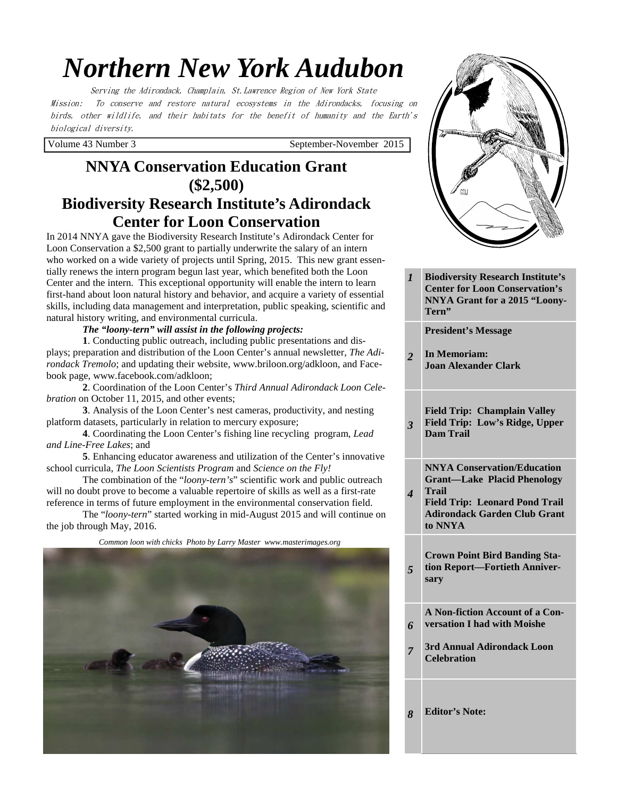# *Northern New York Audubon*

Serving the Adirondack, Champlain, St.Lawrence Region of New York State Mission: To conserve and restore natural ecosystems in the Adirondacks, focusing on birds, other wildlife, and their habitats for the benefit of humanity and the Earth's biological diversity.

Volume 43 Number 3 September-November 2015

# **NNYA Conservation Education Grant (\$2,500) Biodiversity Research Institute's Adirondack**

## **Center for Loon Conservation**

In 2014 NNYA gave the Biodiversity Research Institute's Adirondack Center for Loon Conservation a \$2,500 grant to partially underwrite the salary of an intern who worked on a wide variety of projects until Spring, 2015. This new grant essentially renews the intern program begun last year, which benefited both the Loon Center and the intern. This exceptional opportunity will enable the intern to learn first-hand about loon natural history and behavior, and acquire a variety of essential skills, including data management and interpretation, public speaking, scientific and natural history writing, and environmental curricula.

#### *The "loony-tern" will assist in the following projects:*

**1**. Conducting public outreach, including public presentations and displays; preparation and distribution of the Loon Center's annual newsletter, *The Adirondack Tremolo*; and updating their website, www.briloon.org/adkloon, and Facebook page, www.facebook.com/adkloon;

**2**. Coordination of the Loon Center's *Third Annual Adirondack Loon Celebration* on October 11, 2015, and other events;

**3**. Analysis of the Loon Center's nest cameras, productivity, and nesting platform datasets, particularly in relation to mercury exposure;

**4**. Coordinating the Loon Center's fishing line recycling program, *Lead and Line-Free Lakes*; and

**5**. Enhancing educator awareness and utilization of the Center's innovative school curricula, *The Loon Scientists Program* and *Science on the Fly!* 

The combination of the "*loony-tern's*" scientific work and public outreach will no doubt prove to become a valuable repertoire of skills as well as a first-rate reference in terms of future employment in the environmental conservation field.

 The "*loony-tern*" started working in mid-August 2015 and will continue on the job through May, 2016.

 *Common loon with chicks Photo by Larry Master www.masterimages.org* 





*1* **Biodiversity Research Institute's Center for Loon Conservation's NNYA Grant for a 2015 "Loony-Tern"** 

**President's Message** 

- *2*  **In Memoriam: Joan Alexander Clark**
- *3*  **Field Trip: Champlain Valley Field Trip: Low's Ridge, Upper Dam Trail**

**NNYA Conservation/Education Grant—Lake Placid Phenology Trail** 

**Field Trip: Leonard Pond Trail Adirondack Garden Club Grant to NNYA** 

**Crown Point Bird Banding Station Report—Fortieth Anniversary** 

- **A Non-fiction Account of a Conversation I had with Moishe**
- *7*  **3rd Annual Adirondack Loon Celebration**

*8* **Editor's Note:** 

*4* 

*5* 

*6*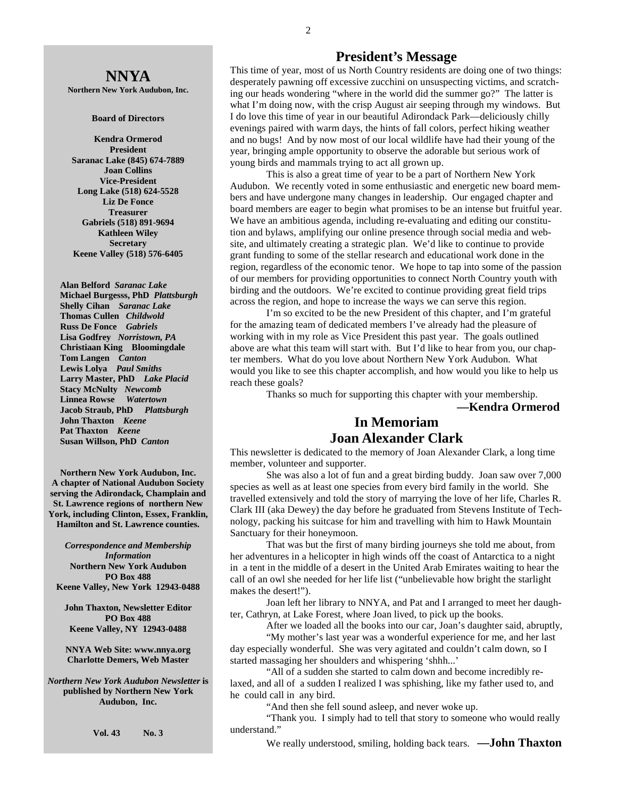# **NNYA**

**Northern New York Audubon, Inc.** 

#### **Board of Directors**

**Kendra Ormerod President Saranac Lake (845) 674-7889 Joan Collins Vice-President Long Lake (518) 624-5528 Liz De Fonce Treasurer Gabriels (518) 891-9694 Kathleen Wiley Secretary Keene Valley (518) 576-6405** 

 **Alan Belford** *Saranac Lake* **Michael Burgesss, PhD** *Plattsburgh* **Shelly Cihan** *Saranac Lake*  **Thomas Cullen** *Childwold* **Russ De Fonce** *Gabriels* **Lisa Godfrey** *Norristown, PA* **Christiaan King Bloomingdale****Tom Langen** *Canton*   **Lewis Lolya** *Paul Smiths* **Larry Master, PhD** *Lake Placid*   **Stacy McNulty** *Newcomb* **Linnea Rowse** *Watertown*   **Jacob Straub, PhD** *Plattsburgh* **John Thaxton** *Keene* **Pat Thaxton** *Keene* **Susan Willson, PhD** *Canton* 

**Northern New York Audubon, Inc. A chapter of National Audubon Society serving the Adirondack, Champlain and St. Lawrence regions of northern New York, including Clinton, Essex, Franklin, Hamilton and St. Lawrence counties.** 

*Correspondence and Membership Information* **Northern New York Audubon PO Box 488 Keene Valley, New York 12943-0488** 

**John Thaxton, Newsletter Editor PO Box 488 Keene Valley, NY 12943-0488** 

**NNYA Web Site: www.nnya.org Charlotte Demers, Web Master**

*Northern New York Audubon Newsletter* **is published by Northern New York Audubon, Inc.** 

**Vol. 43 No. 3** 

#### **President's Message**

This time of year, most of us North Country residents are doing one of two things: desperately pawning off excessive zucchini on unsuspecting victims, and scratching our heads wondering "where in the world did the summer go?" The latter is what I'm doing now, with the crisp August air seeping through my windows. But I do love this time of year in our beautiful Adirondack Park—deliciously chilly evenings paired with warm days, the hints of fall colors, perfect hiking weather and no bugs! And by now most of our local wildlife have had their young of the year, bringing ample opportunity to observe the adorable but serious work of young birds and mammals trying to act all grown up.

 This is also a great time of year to be a part of Northern New York Audubon. We recently voted in some enthusiastic and energetic new board members and have undergone many changes in leadership. Our engaged chapter and board members are eager to begin what promises to be an intense but fruitful year. We have an ambitious agenda, including re-evaluating and editing our constitution and bylaws, amplifying our online presence through social media and website, and ultimately creating a strategic plan. We'd like to continue to provide grant funding to some of the stellar research and educational work done in the region, regardless of the economic tenor. We hope to tap into some of the passion of our members for providing opportunities to connect North Country youth with birding and the outdoors. We're excited to continue providing great field trips across the region, and hope to increase the ways we can serve this region.

 I'm so excited to be the new President of this chapter, and I'm grateful for the amazing team of dedicated members I've already had the pleasure of working with in my role as Vice President this past year. The goals outlined above are what this team will start with. But I'd like to hear from you, our chapter members. What do you love about Northern New York Audubon. What would you like to see this chapter accomplish, and how would you like to help us reach these goals?

Thanks so much for supporting this chapter with your membership.

**—Kendra Ormerod** 

#### **In Memoriam Joan Alexander Clark**

This newsletter is dedicated to the memory of Joan Alexander Clark, a long time member, volunteer and supporter.

 She was also a lot of fun and a great birding buddy. Joan saw over 7,000 species as well as at least one species from every bird family in the world. She travelled extensively and told the story of marrying the love of her life, Charles R. Clark III (aka Dewey) the day before he graduated from Stevens Institute of Technology, packing his suitcase for him and travelling with him to Hawk Mountain Sanctuary for their honeymoon.

 That was but the first of many birding journeys she told me about, from her adventures in a helicopter in high winds off the coast of Antarctica to a night in a tent in the middle of a desert in the United Arab Emirates waiting to hear the call of an owl she needed for her life list ("unbelievable how bright the starlight makes the desert!").

 Joan left her library to NNYA, and Pat and I arranged to meet her daughter, Cathryn, at Lake Forest, where Joan lived, to pick up the books.

 After we loaded all the books into our car, Joan's daughter said, abruptly, "My mother's last year was a wonderful experience for me, and her last

day especially wonderful. She was very agitated and couldn't calm down, so I started massaging her shoulders and whispering 'shhh...'

 "All of a sudden she started to calm down and become incredibly relaxed, and all of a sudden I realized I was sphishing, like my father used to, and he could call in any bird.

"And then she fell sound asleep, and never woke up.

 "Thank you. I simply had to tell that story to someone who would really understand."

We really understood, smiling, holding back tears. **—John Thaxton**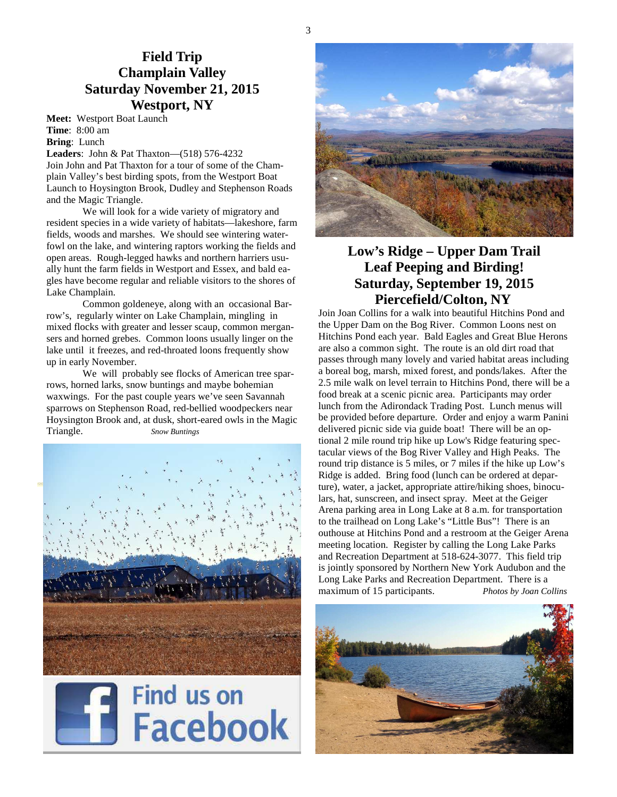# **Field Trip Champlain Valley Saturday November 21, 2015 Westport, NY**

**Meet:** Westport Boat Launch **Time**: 8:00 am **Bring**: Lunch

**Leaders**: John & Pat Thaxton—(518) 576-4232 Join John and Pat Thaxton for a tour of some of the Champlain Valley's best birding spots, from the Westport Boat Launch to Hoysington Brook, Dudley and Stephenson Roads and the Magic Triangle.

 We will look for a wide variety of migratory and resident species in a wide variety of habitats—lakeshore, farm fields, woods and marshes. We should see wintering waterfowl on the lake, and wintering raptors working the fields and open areas. Rough-legged hawks and northern harriers usually hunt the farm fields in Westport and Essex, and bald eagles have become regular and reliable visitors to the shores of Lake Champlain.

 Common goldeneye, along with an occasional Barrow's, regularly winter on Lake Champlain, mingling in mixed flocks with greater and lesser scaup, common mergansers and horned grebes. Common loons usually linger on the lake until it freezes, and red-throated loons frequently show up in early November.

 We will probably see flocks of American tree sparrows, horned larks, snow buntings and maybe bohemian waxwings. For the past couple years we've seen Savannah sparrows on Stephenson Road, red-bellied woodpeckers near Hoysington Brook and, at dusk, short-eared owls in the Magic Triangle. *Snow Buntings*







# **Low's Ridge – Upper Dam Trail Leaf Peeping and Birding! Saturday, September 19, 2015 Piercefield/Colton, NY**

Join Joan Collins for a walk into beautiful Hitchins Pond and the Upper Dam on the Bog River. Common Loons nest on Hitchins Pond each year. Bald Eagles and Great Blue Herons are also a common sight. The route is an old dirt road that passes through many lovely and varied habitat areas including a boreal bog, marsh, mixed forest, and ponds/lakes. After the 2.5 mile walk on level terrain to Hitchins Pond, there will be a food break at a scenic picnic area. Participants may order lunch from the Adirondack Trading Post. Lunch menus will be provided before departure. Order and enjoy a warm Panini delivered picnic side via guide boat! There will be an optional 2 mile round trip hike up Low's Ridge featuring spectacular views of the Bog River Valley and High Peaks. The round trip distance is 5 miles, or 7 miles if the hike up Low's Ridge is added. Bring food (lunch can be ordered at departure), water, a jacket, appropriate attire/hiking shoes, binoculars, hat, sunscreen, and insect spray. Meet at the Geiger Arena parking area in Long Lake at 8 a.m. for transportation to the trailhead on Long Lake's "Little Bus"! There is an outhouse at Hitchins Pond and a restroom at the Geiger Arena meeting location. Register by calling the Long Lake Parks and Recreation Department at 518-624-3077. This field trip is jointly sponsored by Northern New York Audubon and the Long Lake Parks and Recreation Department. There is a maximum of 15 participants. *Photos by Joan Collins*

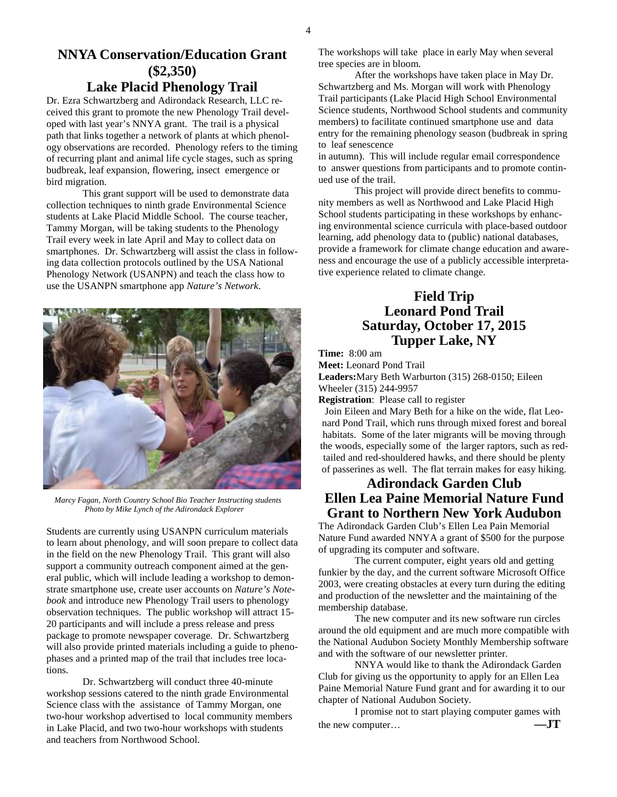# **NNYA Conservation/Education Grant (\$2,350)**

# **Lake Placid Phenology Trail**

Dr. Ezra Schwartzberg and Adirondack Research, LLC received this grant to promote the new Phenology Trail developed with last year's NNYA grant. The trail is a physical path that links together a network of plants at which phenology observations are recorded. Phenology refers to the timing of recurring plant and animal life cycle stages, such as spring budbreak, leaf expansion, flowering, insect emergence or bird migration.

 This grant support will be used to demonstrate data collection techniques to ninth grade Environmental Science students at Lake Placid Middle School. The course teacher, Tammy Morgan, will be taking students to the Phenology Trail every week in late April and May to collect data on smartphones. Dr. Schwartzberg will assist the class in following data collection protocols outlined by the USA National Phenology Network (USANPN) and teach the class how to use the USANPN smartphone app *Nature's Network*.



 *Marcy Fagan, North Country School Bio Teacher Instructing students Photo by Mike Lynch of the Adirondack Explorer* 

Students are currently using USANPN curriculum materials to learn about phenology, and will soon prepare to collect data in the field on the new Phenology Trail. This grant will also support a community outreach component aimed at the general public, which will include leading a workshop to demonstrate smartphone use, create user accounts on *Nature's Notebook* and introduce new Phenology Trail users to phenology observation techniques. The public workshop will attract 15- 20 participants and will include a press release and press package to promote newspaper coverage. Dr. Schwartzberg will also provide printed materials including a guide to phenophases and a printed map of the trail that includes tree locations.

 Dr. Schwartzberg will conduct three 40-minute workshop sessions catered to the ninth grade Environmental Science class with the assistance of Tammy Morgan, one two-hour workshop advertised to local community members in Lake Placid, and two two-hour workshops with students and teachers from Northwood School.

The workshops will take place in early May when several tree species are in bloom.

 After the workshops have taken place in May Dr. Schwartzberg and Ms. Morgan will work with Phenology Trail participants (Lake Placid High School Environmental Science students, Northwood School students and community members) to facilitate continued smartphone use and data entry for the remaining phenology season (budbreak in spring to leaf senescence

in autumn). This will include regular email correspondence to answer questions from participants and to promote continued use of the trail.

 This project will provide direct benefits to community members as well as Northwood and Lake Placid High School students participating in these workshops by enhancing environmental science curricula with place-based outdoor learning, add phenology data to (public) national databases, provide a framework for climate change education and awareness and encourage the use of a publicly accessible interpretative experience related to climate change.

## **Field Trip Leonard Pond Trail Saturday, October 17, 2015 Tupper Lake, NY**

**Time:** 8:00 am

**Meet:** Leonard Pond Trail

**Leaders:**Mary Beth Warburton (315) 268-0150; Eileen Wheeler (315) 244-9957

**Registration**: Please call to register

Join Eileen and Mary Beth for a hike on the wide, flat Leonard Pond Trail, which runs through mixed forest and boreal habitats. Some of the later migrants will be moving through the woods, especially some of the larger raptors, such as redtailed and red-shouldered hawks, and there should be plenty of passerines as well. The flat terrain makes for easy hiking.

## **Adirondack Garden Club Ellen Lea Paine Memorial Nature Fund Grant to Northern New York Audubon**

The Adirondack Garden Club's Ellen Lea Pain Memorial Nature Fund awarded NNYA a grant of \$500 for the purpose of upgrading its computer and software.

 The current computer, eight years old and getting funkier by the day, and the current software Microsoft Office 2003, were creating obstacles at every turn during the editing and production of the newsletter and the maintaining of the membership database.

 The new computer and its new software run circles around the old equipment and are much more compatible with the National Audubon Society Monthly Membership software and with the software of our newsletter printer.

 NNYA would like to thank the Adirondack Garden Club for giving us the opportunity to apply for an Ellen Lea Paine Memorial Nature Fund grant and for awarding it to our chapter of National Audubon Society.

 I promise not to start playing computer games with the new computer… **—JT**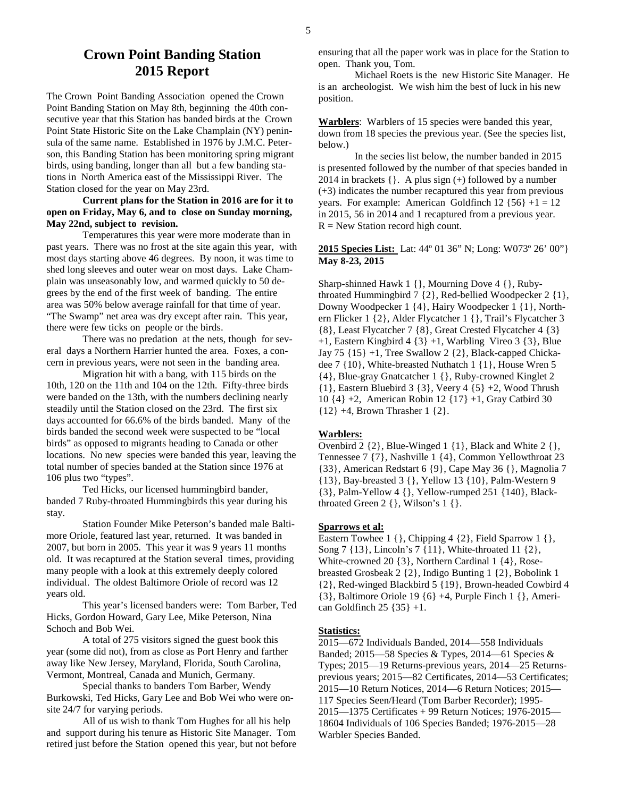The Crown Point Banding Association opened the Crown Point Banding Station on May 8th, beginning the 40th consecutive year that this Station has banded birds at the Crown Point State Historic Site on the Lake Champlain (NY) peninsula of the same name. Established in 1976 by J.M.C. Peterson, this Banding Station has been monitoring spring migrant birds, using banding, longer than all but a few banding stations in North America east of the Mississippi River. The Station closed for the year on May 23rd.

#### **Current plans for the Station in 2016 are for it to open on Friday, May 6, and to close on Sunday morning, May 22nd, subject to revision.**

 Temperatures this year were more moderate than in past years. There was no frost at the site again this year, with most days starting above 46 degrees. By noon, it was time to shed long sleeves and outer wear on most days. Lake Champlain was unseasonably low, and warmed quickly to 50 degrees by the end of the first week of banding. The entire area was 50% below average rainfall for that time of year. "The Swamp" net area was dry except after rain. This year, there were few ticks on people or the birds.

 There was no predation at the nets, though for several days a Northern Harrier hunted the area. Foxes, a concern in previous years, were not seen in the banding area.

 Migration hit with a bang, with 115 birds on the 10th, 120 on the 11th and 104 on the 12th. Fifty-three birds were banded on the 13th, with the numbers declining nearly steadily until the Station closed on the 23rd. The first six days accounted for 66.6% of the birds banded. Many of the birds banded the second week were suspected to be "local birds" as opposed to migrants heading to Canada or other locations. No new species were banded this year, leaving the total number of species banded at the Station since 1976 at 106 plus two "types".

 Ted Hicks, our licensed hummingbird bander, banded 7 Ruby-throated Hummingbirds this year during his stay.

 Station Founder Mike Peterson's banded male Baltimore Oriole, featured last year, returned. It was banded in 2007, but born in 2005. This year it was 9 years 11 months old. It was recaptured at the Station several times, providing many people with a look at this extremely deeply colored individual. The oldest Baltimore Oriole of record was 12 years old.

 This year's licensed banders were: Tom Barber, Ted Hicks, Gordon Howard, Gary Lee, Mike Peterson, Nina Schoch and Bob Wei.

 A total of 275 visitors signed the guest book this year (some did not), from as close as Port Henry and farther away like New Jersey, Maryland, Florida, South Carolina, Vermont, Montreal, Canada and Munich, Germany.

 Special thanks to banders Tom Barber, Wendy Burkowski, Ted Hicks, Gary Lee and Bob Wei who were onsite 24/7 for varying periods.

 All of us wish to thank Tom Hughes for all his help and support during his tenure as Historic Site Manager. Tom retired just before the Station opened this year, but not before ensuring that all the paper work was in place for the Station to open. Thank you, Tom.

 Michael Roets is the new Historic Site Manager. He is an archeologist. We wish him the best of luck in his new position.

**Warblers**: Warblers of 15 species were banded this year, down from 18 species the previous year. (See the species list, below.)

 In the secies list below, the number banded in 2015 is presented followed by the number of that species banded in 2014 in brackets  $\{\}$ . A plus sign  $(+)$  followed by a number (+3) indicates the number recaptured this year from previous years. For example: American Goldfinch  $12 \{56\} + 1 = 12$ in 2015, 56 in 2014 and 1 recaptured from a previous year.  $R = New Station record high count.$ 

**2015 Species List:** Lat: 44º 01 36" N; Long: W073º 26' 00"} **May 8-23, 2015**

Sharp-shinned Hawk 1 {}, Mourning Dove 4 {}, Rubythroated Hummingbird 7 {2}, Red-bellied Woodpecker 2 {1}, Downy Woodpecker 1 {4}, Hairy Woodpecker 1 {1}, Northern Flicker 1 {2}, Alder Flycatcher 1 {}, Trail's Flycatcher 3 {8}, Least Flycatcher 7 {8}, Great Crested Flycatcher 4 {3} +1, Eastern Kingbird 4 {3} +1, Warbling Vireo 3 {3}, Blue Jay 75 {15} +1, Tree Swallow 2 {2}, Black-capped Chickadee 7 {10}, White-breasted Nuthatch 1 {1}, House Wren 5 {4}, Blue-gray Gnatcatcher 1 {}, Ruby-crowned Kinglet 2 {1}, Eastern Bluebird 3 {3}, Veery 4 {5} +2, Wood Thrush 10 {4} +2, American Robin 12 {17} +1, Gray Catbird 30 {12} +4, Brown Thrasher 1 {2}.

#### **Warblers:**

Ovenbird 2 {2}, Blue-Winged 1 {1}, Black and White 2 {}, Tennessee 7 {7}, Nashville 1 {4}, Common Yellowthroat 23 {33}, American Redstart 6 {9}, Cape May 36 {}, Magnolia 7 {13}, Bay-breasted 3 {}, Yellow 13 {10}, Palm-Western 9 {3}, Palm-Yellow 4 {}, Yellow-rumped 251 {140}, Blackthroated Green 2 {}, Wilson's 1 {}.

#### **Sparrows et al:**

Eastern Towhee 1 { }, Chipping 4 {2}, Field Sparrow 1 { }, Song 7 {13}, Lincoln's 7 {11}, White-throated 11 {2}, White-crowned 20 {3}, Northern Cardinal 1 {4}, Rosebreasted Grosbeak 2 {2}, Indigo Bunting 1 {2}, Bobolink 1 {2}, Red-winged Blackbird 5 {19}, Brown-headed Cowbird 4 {3}, Baltimore Oriole 19 {6} +4, Purple Finch 1 {}, American Goldfinch  $25 \{35\} + 1$ .

#### **Statistics:**

2015—672 Individuals Banded, 2014—558 Individuals Banded; 2015—58 Species & Types, 2014—61 Species & Types; 2015—19 Returns-previous years, 2014—25 Returnsprevious years; 2015—82 Certificates, 2014—53 Certificates; 2015—10 Return Notices, 2014—6 Return Notices; 2015— 117 Species Seen/Heard (Tom Barber Recorder); 1995- 2015—1375 Certificates + 99 Return Notices; 1976-2015— 18604 Individuals of 106 Species Banded; 1976-2015—28 Warbler Species Banded.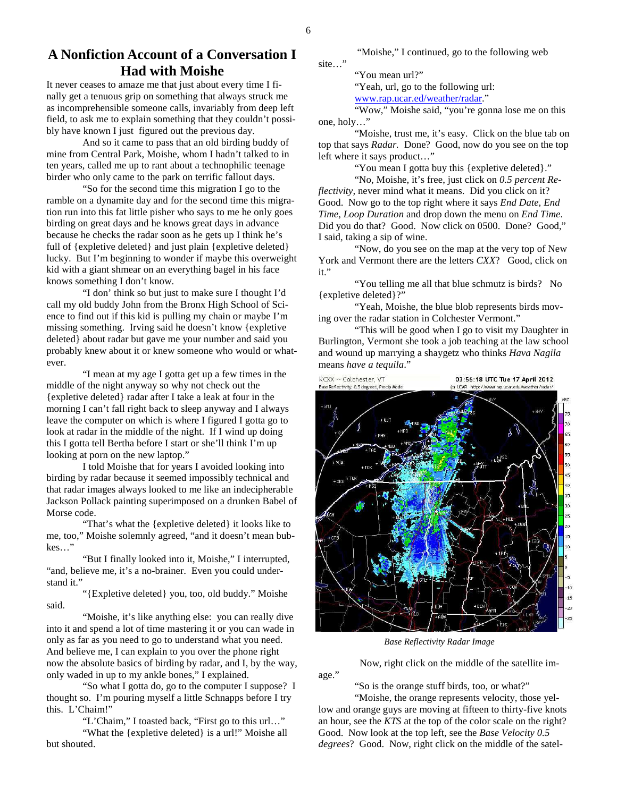site…"

"Moishe," I continued, go to the following web

## **A Nonfiction Account of a Conversation I Had with Moishe**

It never ceases to amaze me that just about every time I finally get a tenuous grip on something that always struck me as incomprehensible someone calls, invariably from deep left field, to ask me to explain something that they couldn't possibly have known I just figured out the previous day.

And so it came to pass that an old birding buddy of mine from Central Park, Moishe, whom I hadn't talked to in ten years, called me up to rant about a technophilic teenage birder who only came to the park on terrific fallout days.

"So for the second time this migration I go to the ramble on a dynamite day and for the second time this migration run into this fat little pisher who says to me he only goes birding on great days and he knows great days in advance because he checks the radar soon as he gets up I think he's full of {expletive deleted} and just plain {expletive deleted} lucky. But I'm beginning to wonder if maybe this overweight kid with a giant shmear on an everything bagel in his face knows something I don't know.

"I don' think so but just to make sure I thought I'd call my old buddy John from the Bronx High School of Science to find out if this kid is pulling my chain or maybe I'm missing something. Irving said he doesn't know {expletive deleted} about radar but gave me your number and said you probably knew about it or knew someone who would or whatever.

"I mean at my age I gotta get up a few times in the middle of the night anyway so why not check out the {expletive deleted} radar after I take a leak at four in the morning I can't fall right back to sleep anyway and I always leave the computer on which is where I figured I gotta go to look at radar in the middle of the night. If I wind up doing this I gotta tell Bertha before I start or she'll think I'm up looking at porn on the new laptop."

I told Moishe that for years I avoided looking into birding by radar because it seemed impossibly technical and that radar images always looked to me like an indecipherable Jackson Pollack painting superimposed on a drunken Babel of Morse code.

"That's what the {expletive deleted} it looks like to me, too," Moishe solemnly agreed, "and it doesn't mean bubkes…"

"But I finally looked into it, Moishe," I interrupted, "and, believe me, it's a no-brainer. Even you could understand it."

"{Expletive deleted} you, too, old buddy." Moishe said.

"Moishe, it's like anything else: you can really dive into it and spend a lot of time mastering it or you can wade in only as far as you need to go to understand what you need. And believe me, I can explain to you over the phone right now the absolute basics of birding by radar, and I, by the way, only waded in up to my ankle bones," I explained.

"So what I gotta do, go to the computer I suppose? I thought so. I'm pouring myself a little Schnapps before I try this. L'Chaim!"

"L'Chaim," I toasted back, "First go to this url…"

"What the {expletive deleted} is a url!" Moishe all but shouted.

"You mean url?"

"Yeah, url, go to the following url:

www.rap.ucar.ed/weather/radar."

"Wow," Moishe said, "you're gonna lose me on this one, holy…"

"Moishe, trust me, it's easy. Click on the blue tab on top that says *Radar.* Done? Good, now do you see on the top left where it says product…"

"You mean I gotta buy this {expletive deleted}."

"No, Moishe, it's free, just click on *0.5 percent Reflectivity*, never mind what it means. Did you click on it? Good. Now go to the top right where it says *End Date, End Time, Loop Duration* and drop down the menu on *End Time*. Did you do that? Good. Now click on 0500. Done? Good," I said, taking a sip of wine.

"Now, do you see on the map at the very top of New York and Vermont there are the letters *CXX*? Good, click on it."

"You telling me all that blue schmutz is birds? No {expletive deleted}?"

"Yeah, Moishe, the blue blob represents birds moving over the radar station in Colchester Vermont."

"This will be good when I go to visit my Daughter in Burlington, Vermont she took a job teaching at the law school and wound up marrying a shaygetz who thinks *Hava Nagila* means *have a tequila*."



 *Base Reflectivity Radar Image* 

Now, right click on the middle of the satellite im-

"So is the orange stuff birds, too, or what?"

age."

"Moishe, the orange represents velocity, those yellow and orange guys are moving at fifteen to thirty-five knots an hour, see the *KTS* at the top of the color scale on the right? Good. Now look at the top left, see the *Base Velocity 0.5 degrees*? Good. Now, right click on the middle of the satel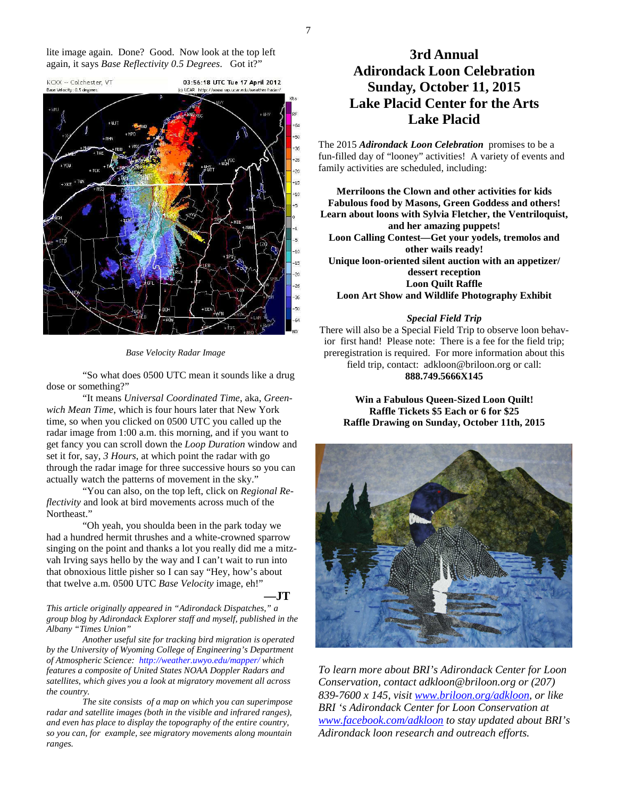lite image again. Done? Good. Now look at the top left again, it says *Base Reflectivity 0.5 Degrees*. Got it?"



 *Base Velocity Radar Image* 

"So what does 0500 UTC mean it sounds like a drug dose or something?"

"It means *Universal Coordinated Time*, aka, *Greenwich Mean Time*, which is four hours later that New York time, so when you clicked on 0500 UTC you called up the radar image from 1:00 a.m. this morning, and if you want to get fancy you can scroll down the *Loop Duration* window and set it for, say, *3 Hours*, at which point the radar with go through the radar image for three successive hours so you can actually watch the patterns of movement in the sky."

"You can also, on the top left, click on *Regional Reflectivity* and look at bird movements across much of the Northeast."

"Oh yeah, you shoulda been in the park today we had a hundred hermit thrushes and a white-crowned sparrow singing on the point and thanks a lot you really did me a mitzvah Irving says hello by the way and I can't wait to run into that obnoxious little pisher so I can say "Hey, how's about that twelve a.m. 0500 UTC *Base Velocity* image, eh!"

 **—JT**

*This article originally appeared in "Adirondack Dispatches," a group blog by Adirondack Explorer staff and myself, published in the Albany "Times Union"* 

 *Another useful site for tracking bird migration is operated by the University of Wyoming College of Engineering's Department of Atmospheric Science: http://weather.uwyo.edu/mapper/ which features a composite of United States NOAA Doppler Radars and satellites, which gives you a look at migratory movement all across the country.* 

 *The site consists of a map on which you can superimpose radar and satellite images (both in the visible and infrared ranges), and even has place to display the topography of the entire country, so you can, for example, see migratory movements along mountain ranges.* 

# **3rd Annual Adirondack Loon Celebration Sunday, October 11, 2015 Lake Placid Center for the Arts Lake Placid**

The 2015 *Adirondack Loon Celebration* promises to be a fun-filled day of "looney" activities! A variety of events and family activities are scheduled, including:

**Merriloons the Clown and other activities for kids Fabulous food by Masons, Green Goddess and others! Learn about loons with Sylvia Fletcher, the Ventriloquist, and her amazing puppets! Loon Calling Contest—Get your yodels, tremolos and other wails ready! Unique loon-oriented silent auction with an appetizer/ dessert reception Loon Quilt Raffle Loon Art Show and Wildlife Photography Exhibit**

#### *Special Field Trip*

There will also be a Special Field Trip to observe loon behavior first hand! Please note: There is a fee for the field trip; preregistration is required. For more information about this field trip, contact: adkloon@briloon.org or call: **888.749.5666X145** 

**Win a Fabulous Queen-Sized Loon Quilt! Raffle Tickets \$5 Each or 6 for \$25 Raffle Drawing on Sunday, October 11th, 2015** 



*To learn more about BRI's Adirondack Center for Loon Conservation, contact adkloon@briloon.org or (207) 839-7600 x 145, visit www.briloon.org/adkloon, or like BRI 's Adirondack Center for Loon Conservation at www.facebook.com/adkloon to stay updated about BRI's Adirondack loon research and outreach efforts.*